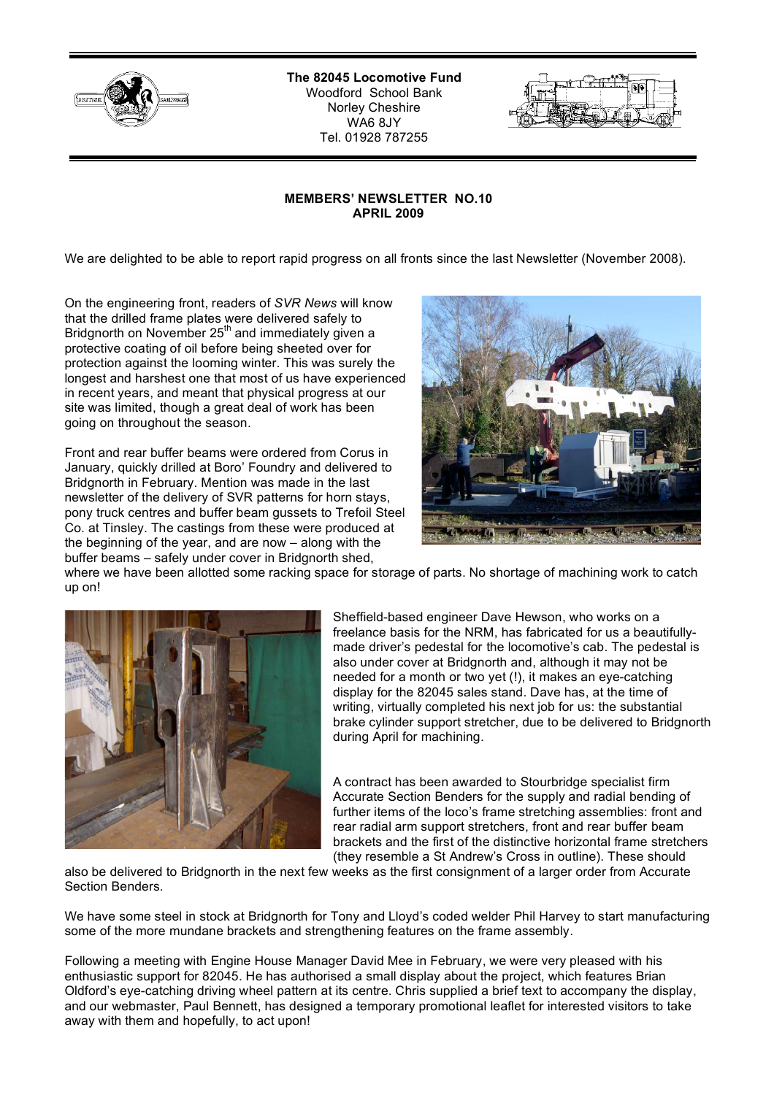

**The 82045 Locomotive Fund** Woodford School Bank Norley Cheshire WA6 8JY Tel. 01928 787255

## **MEMBERS' NEWSLETTER NO.10 APRIL 2009**

We are delighted to be able to report rapid progress on all fronts since the last Newsletter (November 2008).

On the engineering front, readers of *SVR News* will know that the drilled frame plates were delivered safely to Bridgnorth on November  $25<sup>th</sup>$  and immediately given a protective coating of oil before being sheeted over for protection against the looming winter. This was surely the longest and harshest one that most of us have experienced in recent years, and meant that physical progress at our site was limited, though a great deal of work has been going on throughout the season.

Front and rear buffer beams were ordered from Corus in January, quickly drilled at Boro' Foundry and delivered to Bridgnorth in February. Mention was made in the last newsletter of the delivery of SVR patterns for horn stays, pony truck centres and buffer beam gussets to Trefoil Steel Co. at Tinsley. The castings from these were produced at the beginning of the year, and are now – along with the buffer beams – safely under cover in Bridgnorth shed,



where we have been allotted some racking space for storage of parts. No shortage of machining work to catch up on!



Sheffield-based engineer Dave Hewson, who works on a freelance basis for the NRM, has fabricated for us a beautifullymade driver's pedestal for the locomotive's cab. The pedestal is also under cover at Bridgnorth and, although it may not be needed for a month or two yet (!), it makes an eye-catching display for the 82045 sales stand. Dave has, at the time of writing, virtually completed his next job for us: the substantial brake cylinder support stretcher, due to be delivered to Bridgnorth during April for machining.

A contract has been awarded to Stourbridge specialist firm Accurate Section Benders for the supply and radial bending of further items of the loco's frame stretching assemblies: front and rear radial arm support stretchers, front and rear buffer beam brackets and the first of the distinctive horizontal frame stretchers (they resemble a St Andrew's Cross in outline). These should

also be delivered to Bridgnorth in the next few weeks as the first consignment of a larger order from Accurate Section Benders.

We have some steel in stock at Bridgnorth for Tony and Lloyd's coded welder Phil Harvey to start manufacturing some of the more mundane brackets and strengthening features on the frame assembly.

Following a meeting with Engine House Manager David Mee in February, we were very pleased with his enthusiastic support for 82045. He has authorised a small display about the project, which features Brian Oldford's eye-catching driving wheel pattern at its centre. Chris supplied a brief text to accompany the display, and our webmaster, Paul Bennett, has designed a temporary promotional leaflet for interested visitors to take away with them and hopefully, to act upon!